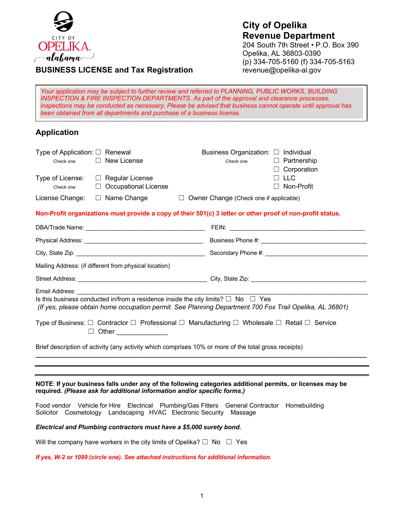

## **City of Opelika Revenue Department** 204 South 7th Street • P.O. Box 390 Opelika, AL 36803-0390 (p) 334-705-5160 (f) 334-705-5163

revenue@opelika-al.gov

# **BUSINESS LICENSE and Tax Registration**

*Your application may be subject to further review and referred to PLANNING, PUBLIC WORKS, BUILDING INSPECTION & FIRE INSPECTION DEPARTMENTS. As part of the approval and clearance processes, inspections may be conducted as necessary. Please be advised that business cannot operate until approval has been obtained from all departments and purchase of a business license.*

## **Application**

| Type of Application: $\Box$ Renewal<br>Check one                                                     | $\Box$ New License                                                       | Business Organization: □ Individual<br>$\Box$ Partnership<br>Check one<br>$\Box$ Corporation                                                                                                           |  |  |
|------------------------------------------------------------------------------------------------------|--------------------------------------------------------------------------|--------------------------------------------------------------------------------------------------------------------------------------------------------------------------------------------------------|--|--|
| Check one                                                                                            | Type of License: □ Regular License<br>$\Box$ Occupational License        | $\Box$ LLC<br>Non-Profit                                                                                                                                                                               |  |  |
| License Change:                                                                                      | $\Box$ Name Change                                                       | $\Box$ Owner Change (Check one if applicable)                                                                                                                                                          |  |  |
|                                                                                                      |                                                                          | Non-Profit organizations must provide a copy of their 501(c) 3 letter or other proof of non-profit status.                                                                                             |  |  |
|                                                                                                      |                                                                          |                                                                                                                                                                                                        |  |  |
|                                                                                                      |                                                                          |                                                                                                                                                                                                        |  |  |
|                                                                                                      |                                                                          |                                                                                                                                                                                                        |  |  |
|                                                                                                      | Mailing Address: (if different from physical location)                   |                                                                                                                                                                                                        |  |  |
|                                                                                                      |                                                                          |                                                                                                                                                                                                        |  |  |
| Email Address:                                                                                       |                                                                          | Is this business conducted in/from a residence inside the city limits? $\Box$ No $\Box$ Yes<br>(If yes, please obtain home occupation permit. See Planning Department 700 Fox Trail Opelika, AL 36801) |  |  |
|                                                                                                      | □ Other ______________                                                   | Type of Business: $\Box$ Contractor $\Box$ Professional $\Box$ Manufacturing $\Box$ Wholesale $\Box$ Retail $\Box$ Service                                                                             |  |  |
| Brief description of activity (any activity which comprises 10% or more of the total gross receipts) |                                                                          |                                                                                                                                                                                                        |  |  |
|                                                                                                      |                                                                          |                                                                                                                                                                                                        |  |  |
|                                                                                                      | required. (Please ask for additional information and/or specific forms.) | NOTE: If your business falls under any of the following categories additional permits, or licenses may be                                                                                              |  |  |
|                                                                                                      | Solicitor Cosmetology Landscaping HVAC Electronic Security               | Food vendor Vehicle for Hire Electrical Plumbing/Gas Fitters General Contractor Homebuilding<br>Massage                                                                                                |  |  |

#### *Electrical and Plumbing contractors must have a \$5,000 surety bond.*

Will the company have workers in the city limits of Opelika?  $\Box$  No  $\Box$  Yes

*If yes, W-2 or 1099 (circle one). See attached instructions for additional information.*